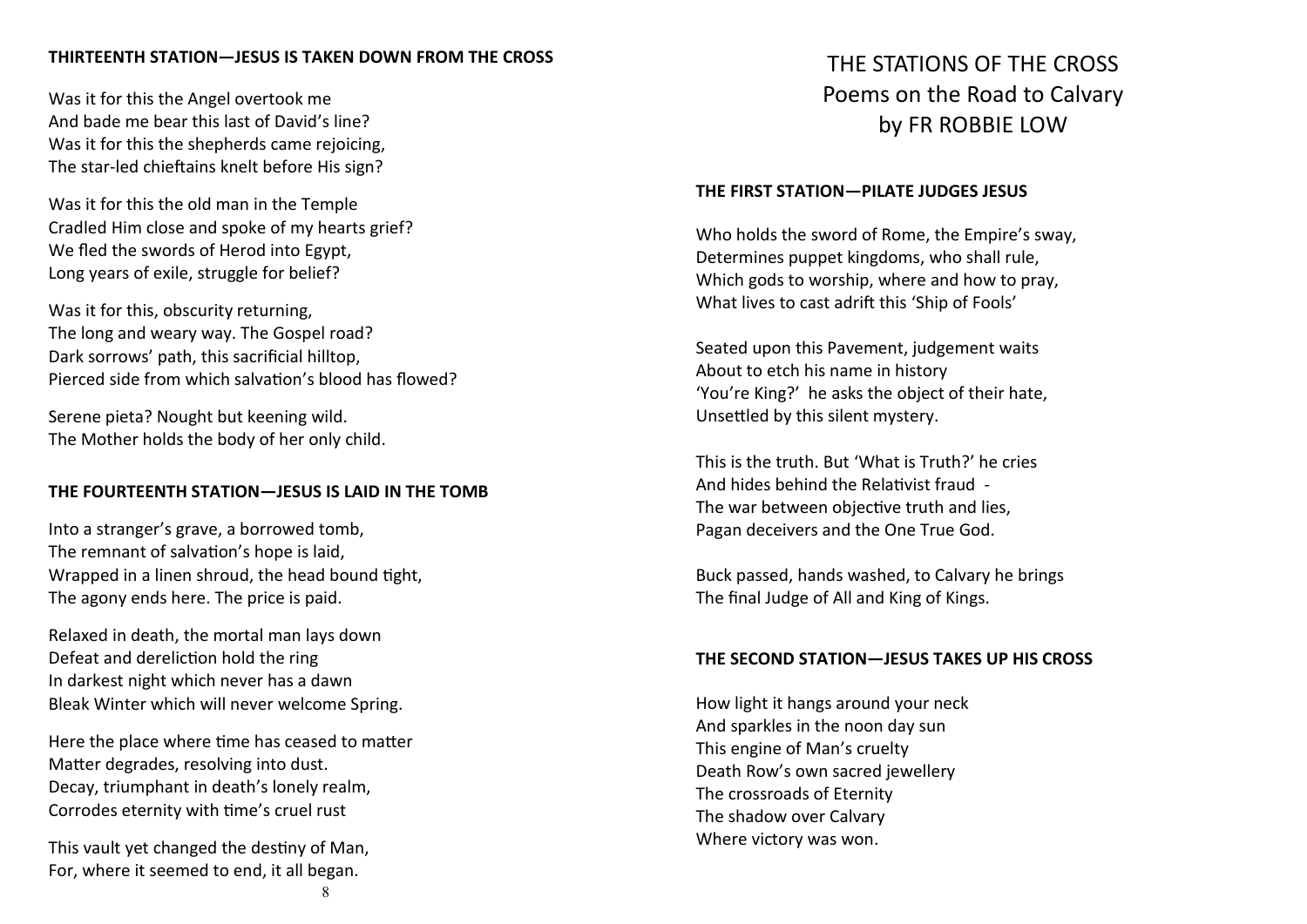# **THIRTEENTH STATION—JESUS IS TAKEN DOWN FROM THE CROSS**

Was it for this the Angel overtook me And bade me bear this last of David's line? Was it for this the shepherds came rejoicing, The star-led chieftains knelt before His sign?

Was it for this the old man in the Temple Cradled Him close and spoke of my hearts grief? We fled the swords of Herod into Egypt, Long years of exile, struggle for belief?

Was it for this, obscurity returning, The long and weary way. The Gospel road? Dark sorrows' path, this sacrificial hilltop, Pierced side from which salvation's blood has flowed?

Serene pieta? Nought but keening wild. The Mother holds the body of her only child.

#### **THE FOURTEENTH STATION—JESUS IS LAID IN THE TOMB**

Into a stranger's grave, a borrowed tomb, The remnant of salvation's hope is laid, Wrapped in a linen shroud, the head bound tight, The agony ends here. The price is paid.

Relaxed in death, the mortal man lays down Defeat and dereliction hold the ring In darkest night which never has a dawn Bleak Winter which will never welcome Spring.

Here the place where time has ceased to matter Matter degrades, resolving into dust. Decay, triumphant in death's lonely realm, Corrodes eternity with time's cruel rust

This vault yet changed the destiny of Man, For, where it seemed to end, it all began.

#### **THE FIRST STATION—PILATE JUDGES JESUS**

Who holds the sword of Rome, the Empire's sway, Determines puppet kingdoms, who shall rule, Which gods to worship, where and how to pray, What lives to cast adrift this 'Ship of Fools'

Seated upon this Pavement, judgement waits About to etch his name in history 'You're King?' he asks the object of their hate, Unsettled by this silent mystery.

This is the truth. But 'What is Truth?' he cries And hides behind the Relativist fraud - The war between objective truth and lies, Pagan deceivers and the One True God.

Buck passed, hands washed, to Calvary he brings The final Judge of All and King of Kings.

#### **THE SECOND STATION—JESUS TAKES UP HIS CROSS**

How light it hangs around your neck And sparkles in the noon day sun This engine of Man's cruelty Death Row's own sacred jewellery The crossroads of Eternity The shadow over Calvary Where victory was won.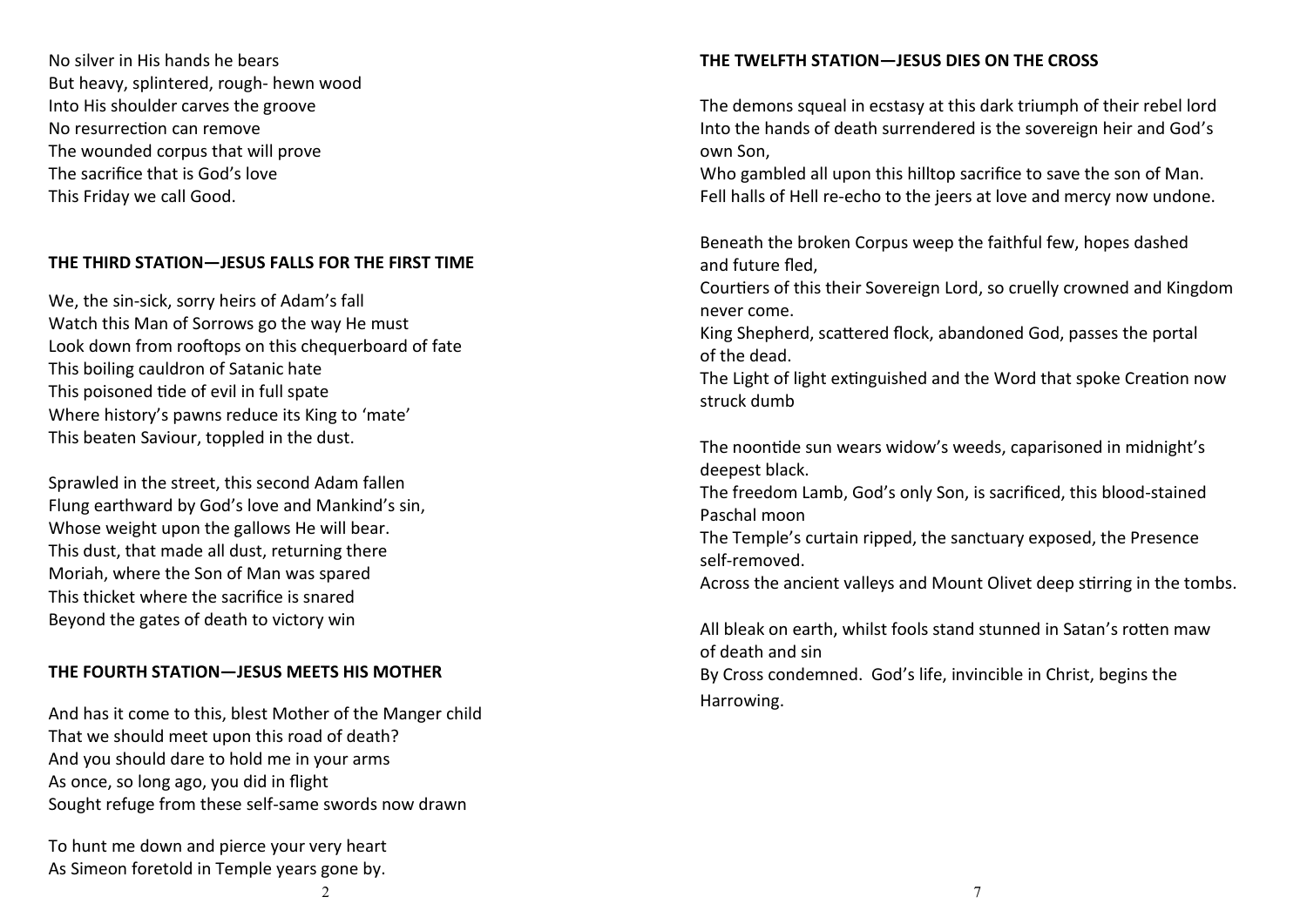No silver in His hands he bears But heavy, splintered, rough- hewn wood Into His shoulder carves the groove No resurrection can remove The wounded corpus that will prove The sacrifice that is God's love This Friday we call Good.

# **THE THIRD STATION—JESUS FALLS FOR THE FIRST TIME**

We, the sin-sick, sorry heirs of Adam's fall Watch this Man of Sorrows go the way He must Look down from rooftops on this chequerboard of fate This boiling cauldron of Satanic hate This poisoned tide of evil in full spate Where history's pawns reduce its King to 'mate' This beaten Saviour, toppled in the dust.

Sprawled in the street, this second Adam fallen Flung earthward by God's love and Mankind's sin, Whose weight upon the gallows He will bear. This dust, that made all dust, returning there Moriah, where the Son of Man was spared This thicket where the sacrifice is snared Beyond the gates of death to victory win

# **THE FOURTH STATION—JESUS MEETS HIS MOTHER**

And has it come to this, blest Mother of the Manger child That we should meet upon this road of death? And you should dare to hold me in your arms As once, so long ago, you did in flight Sought refuge from these self-same swords now drawn

To hunt me down and pierce your very heart As Simeon foretold in Temple years gone by.

The demons squeal in ecstasy at this dark triumph of their rebel lord Into the hands of death surrendered is the sovereign heir and God's own Son,

Who gambled all upon this hilltop sacrifice to save the son of Man. Fell halls of Hell re-echo to the jeers at love and mercy now undone.

Beneath the broken Corpus weep the faithful few, hopes dashed and future fled,

Courtiers of this their Sovereign Lord, so cruelly crowned and Kingdom never come.

King Shepherd, scattered flock, abandoned God, passes the portal of the dead.

The Light of light extinguished and the Word that spoke Creation now struck dumb

The noontide sun wears widow's weeds, caparisoned in midnight's deepest black.

The freedom Lamb, God's only Son, is sacrificed, this blood-stained Paschal moon

The Temple's curtain ripped, the sanctuary exposed, the Presence self-removed.

Across the ancient valleys and Mount Olivet deep stirring in the tombs.

All bleak on earth, whilst fools stand stunned in Satan's rotten maw of death and sin

By Cross condemned. God's life, invincible in Christ, begins the Harrowing.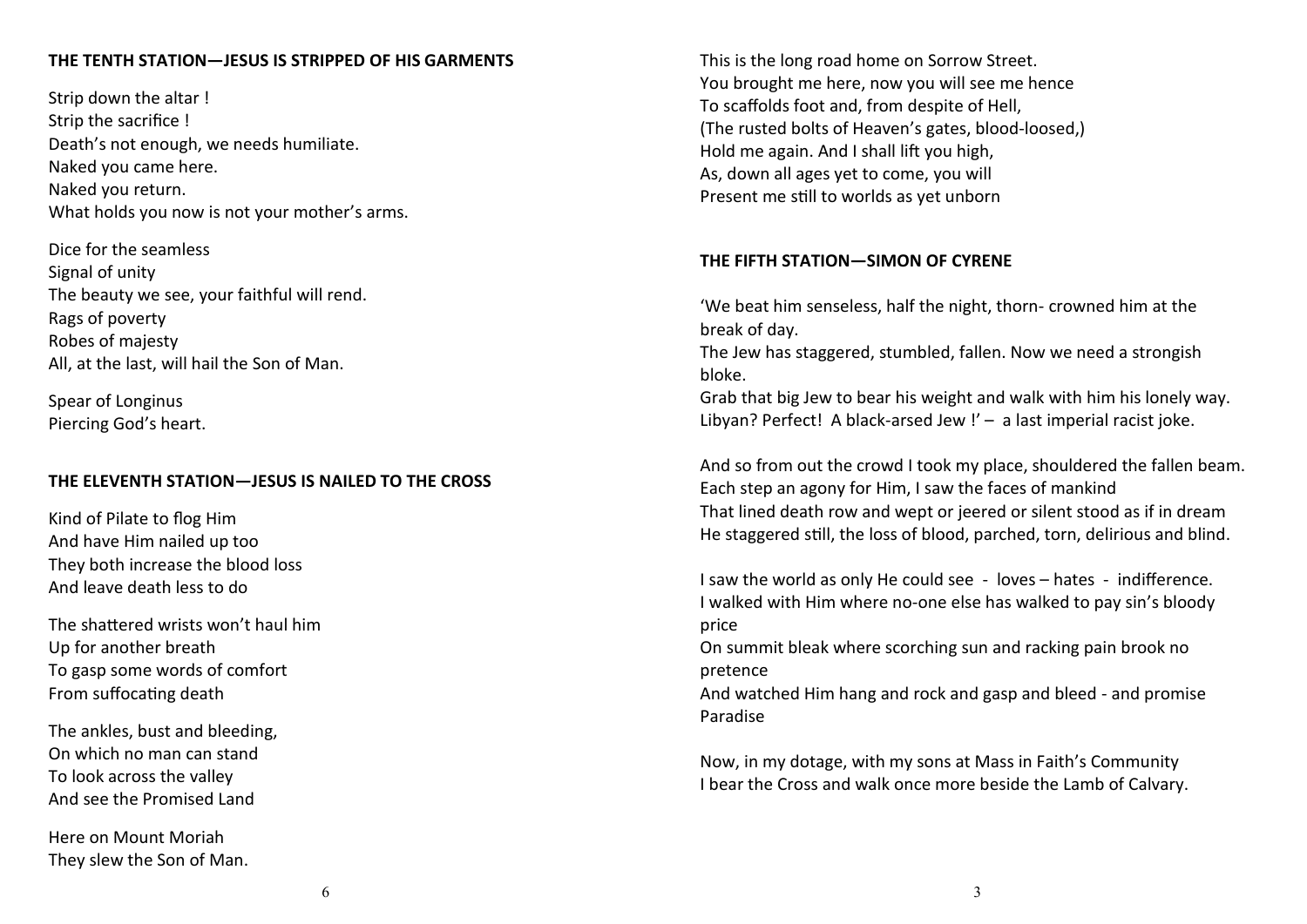# **THE TENTH STATION—JESUS IS STRIPPED OF HIS GARMENTS**

Strip down the altar ! Strip the sacrifice ! Death's not enough, we needs humiliate. Naked you came here. Naked you return. What holds you now is not your mother's arms.

Dice for the seamless Signal of unity The beauty we see, your faithful will rend. Rags of poverty Robes of majesty All, at the last, will hail the Son of Man.

Spear of Longinus Piercing God's heart.

# **THE ELEVENTH STATION—JESUS IS NAILED TO THE CROSS**

Kind of Pilate to flog Him And have Him nailed up too They both increase the blood loss And leave death less to do

The shattered wrists won't haul him Up for another breath To gasp some words of comfort From suffocating death

The ankles, bust and bleeding, On which no man can stand To look across the valley And see the Promised Land

Here on Mount Moriah They slew the Son of Man. This is the long road home on Sorrow Street. You brought me here, now you will see me hence To scaffolds foot and, from despite of Hell, (The rusted bolts of Heaven's gates, blood-loosed,) Hold me again. And I shall lift you high, As, down all ages yet to come, you will Present me still to worlds as yet unborn

#### **THE FIFTH STATION—SIMON OF CYRENE**

'We beat him senseless, half the night, thorn- crowned him at the break of day.

The Jew has staggered, stumbled, fallen. Now we need a strongish bloke.

Grab that big Jew to bear his weight and walk with him his lonely way. Libyan? Perfect! A black-arsed Jew !' - a last imperial racist joke.

And so from out the crowd I took my place, shouldered the fallen beam. Each step an agony for Him, I saw the faces of mankind That lined death row and wept or jeered or silent stood as if in dream He staggered still, the loss of blood, parched, torn, delirious and blind.

I saw the world as only He could see - loves – hates - indifference. I walked with Him where no-one else has walked to pay sin's bloody price

On summit bleak where scorching sun and racking pain brook no pretence

And watched Him hang and rock and gasp and bleed - and promise Paradise

Now, in my dotage, with my sons at Mass in Faith's Community I bear the Cross and walk once more beside the Lamb of Calvary.